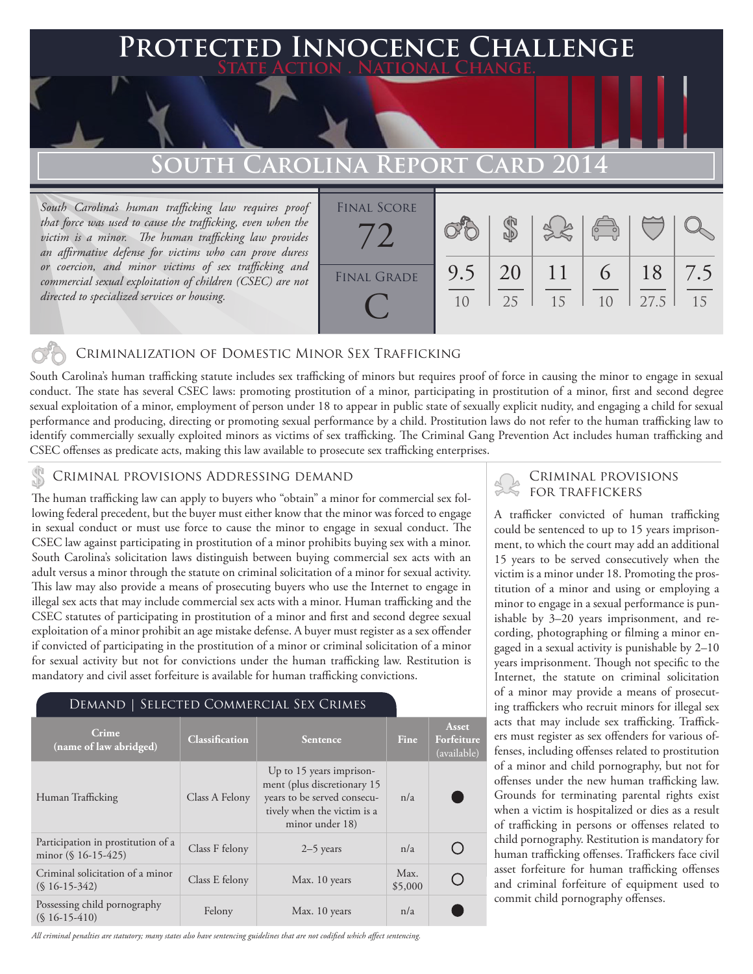## **PECTED INNOCENCE CHALLENGE State Action . National Change.**

# **South Carolina Report Card 2014**

*South Carolina's human trafficking law requires proof that force was used to cause the trafficking, even when the victim is a minor. The human trafficking law provides an affirmative defense for victims who can prove duress or coercion, and minor victims of sex trafficking and commercial sexual exploitation of children (CSEC) are not directed to specialized services or housing.*



### Criminalization of Domestic Minor Sex Trafficking

South Carolina's human trafficking statute includes sex trafficking of minors but requires proof of force in causing the minor to engage in sexual conduct. The state has several CSEC laws: promoting prostitution of a minor, participating in prostitution of a minor, first and second degree sexual exploitation of a minor, employment of person under 18 to appear in public state of sexually explicit nudity, and engaging a child for sexual performance and producing, directing or promoting sexual performance by a child. Prostitution laws do not refer to the human trafficking law to identify commercially sexually exploited minors as victims of sex trafficking. The Criminal Gang Prevention Act includes human trafficking and CSEC offenses as predicate acts, making this law available to prosecute sex trafficking enterprises.

#### CRIMINAL PROVISIONS ADDRESSING DEMAND

The human trafficking law can apply to buyers who "obtain" a minor for commercial sex following federal precedent, but the buyer must either know that the minor was forced to engage in sexual conduct or must use force to cause the minor to engage in sexual conduct. The CSEC law against participating in prostitution of a minor prohibits buying sex with a minor. South Carolina's solicitation laws distinguish between buying commercial sex acts with an adult versus a minor through the statute on criminal solicitation of a minor for sexual activity. This law may also provide a means of prosecuting buyers who use the Internet to engage in illegal sex acts that may include commercial sex acts with a minor. Human trafficking and the CSEC statutes of participating in prostitution of a minor and first and second degree sexual exploitation of a minor prohibit an age mistake defense. A buyer must register as a sex offender if convicted of participating in the prostitution of a minor or criminal solicitation of a minor for sexual activity but not for convictions under the human trafficking law. Restitution is mandatory and civil asset forfeiture is available for human trafficking convictions.

### Demand | Selected Commercial Sex Crimes

| Crime<br>(name of law abridged)                              | <b>Classification</b> | <b>Sentence</b>                                                                                                                          | Fine            | Asset<br>Forfeiture<br>(available) |
|--------------------------------------------------------------|-----------------------|------------------------------------------------------------------------------------------------------------------------------------------|-----------------|------------------------------------|
| Human Trafficking                                            | Class A Felony        | Up to 15 years imprison-<br>ment (plus discretionary 15<br>years to be served consecu-<br>tively when the victim is a<br>minor under 18) | n/a             |                                    |
| Participation in prostitution of a<br>minor $(\S 16-15-425)$ | Class F felony        | $2-5$ years                                                                                                                              | n/a             |                                    |
| Criminal solicitation of a minor<br>$(S16-15-342)$           | Class E felony        | Max. 10 years                                                                                                                            | Max.<br>\$5,000 |                                    |
| Possessing child pornography<br>$(S16-15-410)$               | Felony                | Max. 10 years                                                                                                                            | n/a             |                                    |

*All criminal penalties are statutory; many states also have sentencing guidelines that are not codified which affect sentencing.* 

### Criminal provisions for traffickers

A trafficker convicted of human trafficking could be sentenced to up to 15 years imprisonment, to which the court may add an additional 15 years to be served consecutively when the victim is a minor under 18. Promoting the prostitution of a minor and using or employing a minor to engage in a sexual performance is punishable by 3–20 years imprisonment, and recording, photographing or filming a minor engaged in a sexual activity is punishable by 2–10 years imprisonment. Though not specific to the Internet, the statute on criminal solicitation of a minor may provide a means of prosecuting traffickers who recruit minors for illegal sex acts that may include sex trafficking. Traffickers must register as sex offenders for various offenses, including offenses related to prostitution of a minor and child pornography, but not for offenses under the new human trafficking law. Grounds for terminating parental rights exist when a victim is hospitalized or dies as a result of trafficking in persons or offenses related to child pornography. Restitution is mandatory for human trafficking offenses. Traffickers face civil asset forfeiture for human trafficking offenses and criminal forfeiture of equipment used to commit child pornography offenses.